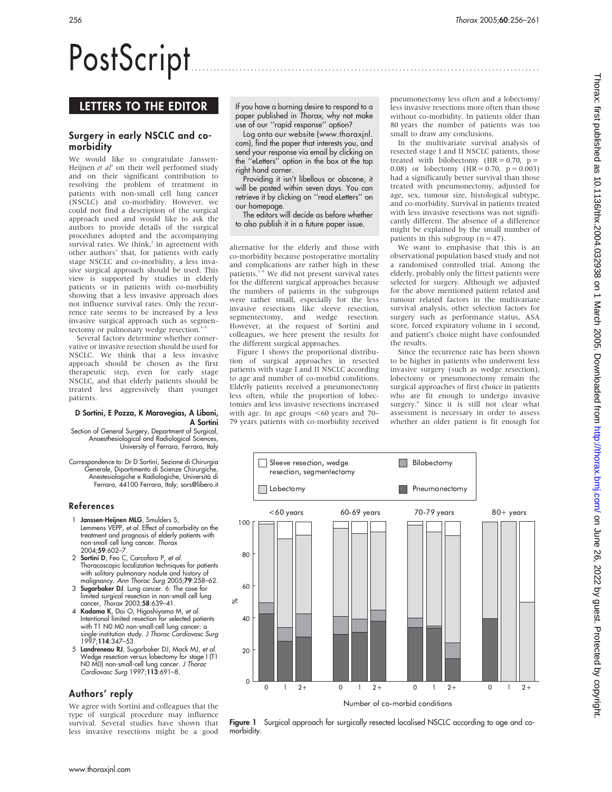# PostScript

## LETTERS TO THE EDITOR

## Surgery in early NSCLC and comorbidity

We would like to congratulate Janssen-Heijnen et  $al<sup>1</sup>$  on their well performed study and on their significant contribution to resolving the problem of treatment in patients with non-small cell lung cancer (NSCLC) and co-morbidity. However, we could not find a description of the surgical approach used and would like to ask the authors to provide details of the surgical procedures adopted and the accompanying survival rates. We think, $2$  in agreement with other authors<sup>3</sup> that, for patients with early stage NSCLC and co-morbidity, a less invasive surgical approach should be used. This view is supported by studies in elderly patients or in patients with co-morbidity showing that a less invasive approach does not influence survival rates. Only the recurrence rate seems to be increased by a less invasive surgical approach such as segmentectomy or pulmonary wedge resection.<sup>3</sup>

Several factors determine whether conservative or invasive resection should be used for NSCLC. We think that a less invasive approach should be chosen as the first therapeutic step, even for early stage NSCLC, and that elderly patients should be treated less aggressively than younger patients.

#### D Sortini, E Pozza, K Maravegias, A Liboni, A Sortini

Section of General Surgery, Department of Surgical, Anaesthesiological and Radiological Sciences, University of Ferrara, Ferrara, Italy

Correspondence to: Dr D Sortini, Sezione di Chirurgia ,<br>Generale, Dipartimento di Scienze Chirurgiche, Anestesiologiche e Radiologiche, Universita` di Ferrara, 44100 Ferrara, Italy; sors@libero.it

## References

- 1 Janssen-Heijnen MLG, Smulders S, Lemmens VEPP, et al. Effect of comorbidity on the treatment and prognosis of elderly patients with non-small cell lung cancer. Thorax
- 2004;59:602–7. 2 Sortini D, Feo C, Carcoforo P, et al. Thoracoscopic localization techniques for patients with solitary pulmonary nodule and history of malignancy. Ann Thorac Surg 2005;79:258–62.
- 3 Sugarbaker DJ. Lung cancer. 6: The case for limited surgical resection in non-small cell lung cancer, Thorax 2003;58:639–41.
- 4 Kodama K, Doi O, Higashiyama M, et al. Intentional limited resection for selected patients with T1 N0 M0 non-small-cell lung cancer: a single-institution study. J Thorac Cardiovasc Surg 1997;114:347–53.
- Landreneau RJ, Sugarbaker DJ, Mack MJ, et al. Wedge resection versus lobectomy for stage I (T1 N0 M0) non-small-cell lung cancer. J Thorac Cardiovasc Surg 1997;113:691–8.

## Authors' reply

We agree with Sortini and colleagues that the type of surgical procedure may influence survival. Several studies have shown that less invasive resections might be a good If you have a burning desire to respond to a paper published in Thorax, why not make use of our ''rapid response'' option?

Log onto our website (www.thoraxjnl. com), find the paper that interests you, and send your response via email by clicking on the ''eLetters'' option in the box at the top right hand corner.

Providing it isn't libellous or obscene, it will be posted within seven days. You can retrieve it by clicking on ''read eLetters'' on our homepage.

The editors will decide as before whether to also publish it in a future paper issue.

alternative for the elderly and those with co-morbidity because postoperative mortality and complications are rather high in these patients.<sup>1-5</sup> We did not present survival rates for the different surgical approaches because the numbers of patients in the subgroups were rather small, especially for the less invasive resections like sleeve resection, segmentectomy, and wedge resection. However, at the request of Sortini and colleagues, we here present the results for the different surgical approaches.

Figure 1 shows the proportional distribution of surgical approaches in resected patients with stage I and II NSCLC according to age and number of co-morbid conditions. Elderly patients received a pneumonectomy less often, while the proportion of lobectomies and less invasive resections increased with age. In age groups  $<$  60 years and 70– 79 years patients with co-morbidity received

> Sleeve resection, wedge resection, segmentectomy

Lobectomy

 $0 \t 1 \t 2+$ 

100

80

60

×,

40

20

 $\Omega$ 

pneumonectomy less often and a lobectomy/ less invasive resections more often than those without co-morbidity. In patients older than 80 years the number of patients was too small to draw any conclusions.

In the multivariate survival analysis of resected stage I and II NSCLC patients, those treated with bilobectomy  $(HR = 0.70, p =$ 0.08) or lobectomy  $(HR = 0.70, p = 0.003)$ had a significantly better survival than those treated with pneumonectomy, adjusted for age, sex, tumour size, histological subtype, and co-morbidity. Survival in patients treated with less invasive resections was not significantly different. The absence of a difference might be explained by the small number of patients in this subgroup  $(n = 47)$ .

We want to emphasise that this is an observational population based study and not a randomised controlled trial. Among the elderly, probably only the fittest patients were selected for surgery. Although we adjusted for the above mentioned patient related and tumour related factors in the multivariate survival analysis, other selection factors for surgery such as performance status, ASA score, forced expiratory volume in 1 second, and patient's choice might have confounded the results.

Since the recurrence rate has been shown to be higher in patients who underwent less invasive surgery (such as wedge resection), lobectomy or pneumonectomy remain the surgical approaches of first choice in patients who are fit enough to undergo invasive surgery.<sup>4</sup> Since it is still not clear what assessment is necessary in order to assess whether an older patient is fit enough for



+ 0 1 2

Number of co-morbid conditions

<60 years 60-69 years 70-79 years 80+ years

Bilobectomy

Pneumonectomy

+ 0 1 2

 $2+$ 

+ 0 1 2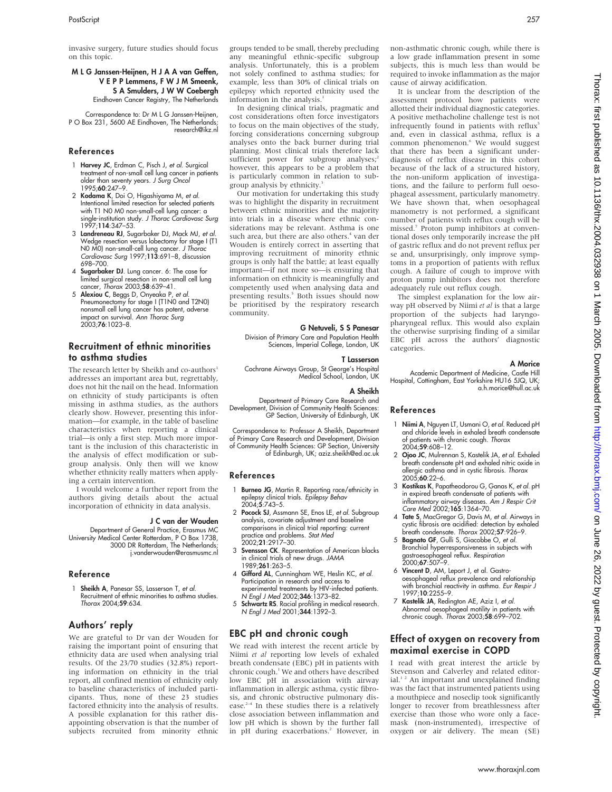invasive surgery, future studies should focus on this topic.

#### M L G Janssen-Heijnen, H J A A van Geffen, V E P P Lemmens, F W J M Smeenk, S A Smulders, J W W Coebergh Eindhoven Cancer Registry, The Netherlands

Correspondence to: Dr M L G Janssen-Heijnen, P O Box 231, 5600 AE Eindhoven, The Netherlands; research@ikz.nl

#### References

- 1 Harvey JC, Erdman C, Pisch J, et al. Surgical treatment of non-small cell lung cancer in patients older than seventy years. J Surg Oncol 1995;60:247–9.
- 2 Kodama K, Doi O, Higashiyama M, et al. Intentional limited resection for selected patients with T1 N0 M0 non-small-cell lung cancer: a single-institution study. J Thorac Cardiovasc Surg 1997;114:347–53.
- 3 Landreneau RJ, Sugarbaker DJ, Mack MJ, et al. Wedge resection versus lobectomy for stage I (T1<br>N0 M0) non-small-cell lung cancer. *J Thorac*<br>*Cardiovasc Surg* 1997;**113**:691–8, discussion 698–700.
- 4 Sugarbaker DJ. Lung cancer. 6: The case for limited surgical resection in non-small cell lung cancer, Thorax 2003;58:639–41.
- 5 Alexiou C, Beggs D, Onyeaka P, et al. Pneumonectomy for stage I (T1N0 and T2N0) nonsmall cell lung cancer has potent, adverse impact on survival. Ann Thorac Surg 2003;76:1023–8.

## Recruitment of ethnic minorities to asthma studies

The research letter by Sheikh and co-authors<sup>1</sup> addresses an important area but, regrettably, does not hit the nail on the head. Information on ethnicity of study participants is often missing in asthma studies, as the authors clearly show. However, presenting this information—for example, in the table of baseline characteristics when reporting a clinical trial—is only a first step. Much more important is the inclusion of this characteristic in the analysis of effect modification or subgroup analysis. Only then will we know whether ethnicity really matters when applying a certain intervention.

I would welcome a further report from the authors giving details about the actual incorporation of ethnicity in data analysis.

#### J C van der Wouden

Department of General Practice, Erasmus MC University Medical Center Rotterdam, P O Box 1738, 3000 DR Rotterdam, The Netherlands; j.vanderwouden@erasmusmc.nl

#### Reference

1 Sheikh A, Panesar SS, Lasserson T, et al. Recruitment of ethnic minorities to asthma studies. Thorax 2004;59:634.

## Authors' reply

We are grateful to Dr van der Wouden for raising the important point of ensuring that ethnicity data are used when analysing trial results. Of the 23/70 studies (32.8%) reporting information on ethnicity in the trial report, all confined mention of ethnicity only to baseline characteristics of included participants. Thus, none of these 23 studies factored ethnicity into the analysis of results. A possible explanation for this rather disappointing observation is that the number of subjects recruited from minority ethnic

groups tended to be small, thereby precluding any meaningful ethnic-specific subgroup analysis. Unfortunately, this is a problem not solely confined to asthma studies; for example, less than 30% of clinical trials on epilepsy which reported ethnicity used the information in the analysis.<sup>1</sup>

In designing clinical trials, pragmatic and cost considerations often force investigators to focus on the main objectives of the study, forcing considerations concerning subgroup analyses onto the back burner during trial planning. Most clinical trials therefore lack sufficient power for subgroup analyses;<sup>2</sup> however, this appears to be a problem that is particularly common in relation to subgroup analysis by ethnicity.<sup>3</sup>

Our motivation for undertaking this study was to highlight the disparity in recruitment between ethnic minorities and the majority into trials in a disease where ethnic considerations may be relevant. Asthma is one such area, but there are also others.<sup>4</sup> van der Wouden is entirely correct in asserting that improving recruitment of minority ethnic groups is only half the battle; at least equally important—if not more so—is ensuring that information on ethnicity is meaningfully and competently used when analysing data and presenting results.<sup>5</sup> Both issues should now be prioritised by the respiratory research community.

#### G Netuveli, S S Panesar

Division of Primary Care and Population Health Sciences, Imperial College, London, UK

#### T Lasserson

Cochrane Airways Group, St George's Hospital Medical School, London, UK

#### A Sheikh

Department of Primary Care Research and Development, Division of Community Health Sciences: GP Section, University of Edinburgh, UK

Correspondence to: Professor A Sheikh, Department of Primary Care Research and Development, Division of Community Health Sciences: GP Section, University of Edinburgh, UK; aziz.sheikh@ed.ac.uk

#### References

- 1 Burneo JG, Martin R. Reporting race/ethnicity in epilepsy clinical trials. Epilepsy Behav 2004;5:743–5.
- 2 Pocock SJ, Assmann SE, Enos LE, et al. Subgroup analysis, covariate adjustment and baseline comparisons in clinical trial reporting: current practice and problems. *Stat Med*<br>2002;**21**:2917–30.
- 3 Svensson CK. Representation of American blacks in clinical trials of new drugs. JAMA 1989;261:263–5.
- 4 Gifford AL, Cunningham WE, Heslin KC, et al. Participation in research and access to experimental treatments by HIV-infected patients. N Engl J Med 2002;346:1373–82.
- 5 Schwartz RS. Racial profiling in medical research. N Engl J Med 2001;344:1392–3.

## EBC pH and chronic cough

We read with interest the recent article by Niimi et al reporting low levels of exhaled breath condensate (EBC) pH in patients with chronic cough.<sup>1</sup> We and others have described low EBC pH in association with airway inflammation in allergic asthma, cystic fibrosis, and chronic obstructive pulmonary disease. $2-4$  In these studies there is a relatively close association between inflammation and low pH which is shown by the further fall in pH during exacerbations.<sup>2</sup> However, in non-asthmatic chronic cough, while there is a low grade inflammation present in some subjects, this is much less than would be required to invoke inflammation as the major cause of airway acidification.

It is unclear from the description of the assessment protocol how patients were allotted their individual diagnostic categories. A positive methacholine challenge test is not infrequently found in patients with reflux<sup>5</sup> and, even in classical asthma, reflux is a common phenomenon.<sup>6</sup> We would suggest that there has been a significant underdiagnosis of reflux disease in this cohort because of the lack of a structured history, the non-uniform application of investigations, and the failure to perform full oesophageal assessment, particularly manometry. We have shown that, when oesophageal manometry is not performed, a significant number of patients with reflux cough will be missed.7 Proton pump inhibitors at conventional doses only temporarily increase the pH of gastric reflux and do not prevent reflux per se and, unsurprisingly, only improve symptoms in a proportion of patients with reflux cough. A failure of cough to improve with proton pump inhibitors does not therefore adequately rule out reflux cough.

The simplest explanation for the low airway pH observed by Niimi et al is that a large proportion of the subjects had laryngopharyngeal reflux. This would also explain the otherwise surprising finding of a similar EBC pH across the authors' diagnostic categories.

#### A Morice

Academic Department of Medicine, Castle Hill Hospital, Cottingham, East Yorkshire HU16 5JQ, UK; a.h.morice@hull.ac.uk

#### References

- 1 Niimi A, Nguyen LT, Usmani O, et al. Reduced pH and chloride levels in exhaled breath condensate of patients with chronic cough. Thorax 2004;59:608–12.
- 2 Ojoo JC, Mulrennan S, Kastelik JA, et al. Exhaled breath condensate pH and exhaled nitric oxide in allergic asthma and in cystic fibrosis. Thorax 2005;60:22–6.
- 3 Kostikas K, Papatheodorou G, Ganas K, et al. pH in expired breath condensate of patients with inflammatory airway diseases. Am J Respir Crit Care Med 2002;165:1364–70.
- 4 Tate S, MacGregor G, Davis M, et al. Airways in cystic fibrosis are acidified: detection by exhaled
- breath condensate. Thorax 2002;57:926–9. 5 Bagnato GF, Gulli S, Giacobbe O, et al. Bronchial hyperresponsiveness in subjects with gastroesophageal reflux. *Respiration*<br>2000;**67**:507–9.
- 6 Vincent D, AM, Leport J, et al. Gastrooesophageal reflux prevalence and relationship with bronchial reactivity in asthma. Eur Respir J 1997;10:2255–9.
- 7 Kastelik JA, Redington AE, Aziz I, et al. Abnormal oesophageal motility in patients with chronic cough. Thorax 2003;58:699–702.

## Effect of oxygen on recovery from maximal exercise in COPD

I read with great interest the article by Stevenson and Calverley and related editorial.<sup>12</sup> An important and unexplained finding was the fact that instrumented patients using a mouthpiece and noseclip took significantly longer to recover from breathlessness after exercise than those who wore only a facemask (non-instrumented), irrespective of oxygen or air delivery. The mean (SE)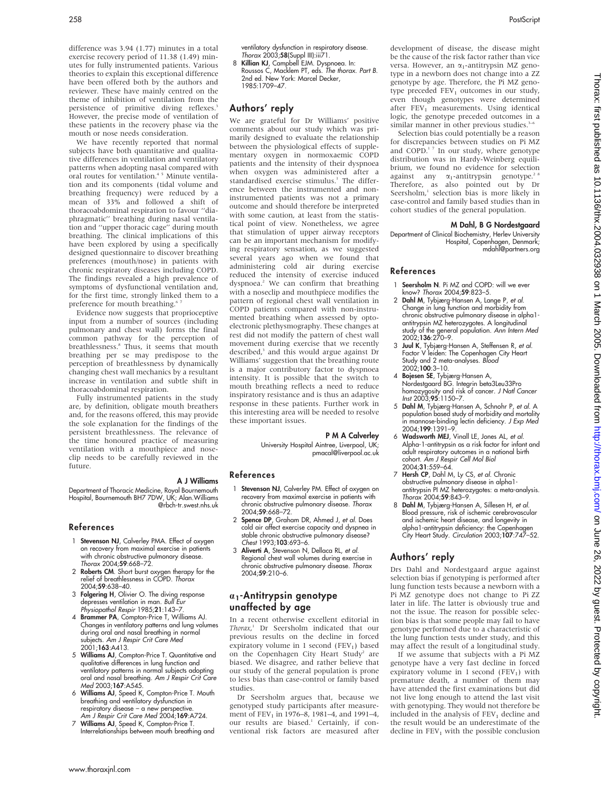difference was 3.94 (1.77) minutes in a total exercise recovery period of 11.38 (1.49) minutes for fully instrumented patients. Various theories to explain this exceptional difference have been offered both by the authors and reviewer. These have mainly centred on the theme of inhibition of ventilation from the persistence of primitive diving reflexes.<sup>3</sup> However, the precise mode of ventilation of these patients in the recovery phase via the mouth or nose needs consideration.

We have recently reported that normal subjects have both quantitative and qualitative differences in ventilation and ventilatory patterns when adopting nasal compared with oral routes for ventilation.<sup>45</sup> Minute ventilation and its components (tidal volume and breathing frequency) were reduced by a mean of 33% and followed a shift of thoracoabdominal respiration to favour ''diaphragmatic'' breathing during nasal ventilation and ''upper thoracic cage'' during mouth breathing. The clinical implications of this have been explored by using a specifically designed questionnaire to discover breathing preferences (mouth/nose) in patients with chronic respiratory diseases including COPD. The findings revealed a high prevalence of symptoms of dysfunctional ventilation and, for the first time, strongly linked them to a preference for mouth breathing.<sup>6</sup>

Evidence now suggests that proprioceptive input from a number of sources (including pulmonary and chest wall) forms the final common pathway for the perception of breathlessness.<sup>8</sup> Thus, it seems that mouth breathing per se may predispose to the perception of breathlessness by dynamically changing chest wall mechanics by a resultant increase in ventilation and subtle shift in thoracoabdominal respiration.

Fully instrumented patients in the study are, by definition, obligate mouth breathers and, for the reasons offered, this may provide the sole explanation for the findings of the persistent breathlessness. The relevance of the time honoured practice of measuring ventilation with a mouthpiece and noseclip needs to be carefully reviewed in the future.

#### A J Williams

Department of Thoracic Medicine, Royal Bournemouth Hospital, Bournemouth BH7 7DW, UK; Alan.Williams @rbch-tr.swest.nhs.uk

#### References

- 1 Stevenson NJ, Calverley PMA. Effect of oxygen on recovery from maximal exercise in patients with chronic obstructive pulmonary disease. Thorax 2004;59:668–72.
- 2 Roberts CM. Short burst oxygen therapy for the relief of breathlessness in COPD. Thorax 2004;59:638–40.
- 3 Folgering H, Olivier O. The diving response depresses ventilation in man. Bull Eur Physiopathol Respir 1985;21:143-7
- 4 Brammer PA, Compton-Price T, Williams AJ. Changes in ventilatory patterns and lung volumes during oral and nasal breathing in normal subjects. *Am J Respir Crit Care Med*<br>2001;**163**:A413.
- 5 Williams AJ, Compton-Price T. Quantitative and qualitative differences in lung function and ventilatory patterns in normal subjects adopting oral and nasal breathing. Am J Respir Crit Care Med 2003;167:A545.
- 6 Williams AJ, Speed K, Compton-Price T. Mouth breathing and ventilatory dysfunction in respiratory disease – a new perspective.<br>Am J Respir Crit Care Med 2004;**169**:A724.
- 7 Williams AJ, Speed K, Compton-Price T. Interrelationships between mouth breathing and

ventilatory dysfunction in respiratory disease. . 11.iii71.bh*rax* 2003;**58(**Suppl III):iii

8 Killian KJ, Campbell EJM. Dyspnoea. In: Roussos C, Macklem PT, eds. The thorax. Part B. 2nd ed. New York: Marcel Decker, 1985:1709–47.

## Authors' reply

We are grateful for Dr Williams' positive comments about our study which was primarily designed to evaluate the relationship between the physiological effects of supplementary oxygen in normoxaemic COPD patients and the intensity of their dyspnoea when oxygen was administered after a standardised exercise stimulus.<sup>1</sup> The difference between the instrumented and noninstrumented patients was not a primary outcome and should therefore be interpreted with some caution, at least from the statistical point of view. Nonetheless, we agree that stimulation of upper airway receptors can be an important mechanism for modifying respiratory sensation, as we suggested several years ago when we found that administering cold air during exercise reduced the intensity of exercise induced dyspnoea.2 We can confirm that breathing with a noseclip and mouthpiece modifies the pattern of regional chest wall ventilation in COPD patients compared with non-instrumented breathing when assessed by optoelectronic plethysmography. These changes at rest did not modify the pattern of chest wall movement during exercise that we recently described,<sup>3</sup> and this would argue against Dr Williams' suggestion that the breathing route is a major contributory factor to dyspnoea intensity. It is possible that the switch to mouth breathing reflects a need to reduce inspiratory resistance and is thus an adaptive response in these patients. Further work in this interesting area will be needed to resolve these important issues.

#### P M A Calverley

University Hospital Aintree, Liverpool, UK; pmacal@liverpool.ac.uk

#### References

- 1 Stevenson NJ, Calverley PM. Effect of oxygen on recovery from maximal exercise in patients with chronic obstructive pulmonary disease. Thorax 2004;59:668–72.
- 2 Spence DP, Graham DR, Ahmed J, et al. Does cold air affect exercise capacity and dyspnea in stable chronic obstructive pulmonary disease? Chest 1993;103:693–6.
- 3 Aliverti A, Stevenson N, Dellaca RL, et al. Regional chest wall volumes during exercise in chronic obstructive pulmonary disease. Thorax 2004;59:210–6.

## $\alpha_1$ -Antitrypsin genotype unaffected by age

In a recent otherwise excellent editorial in Thorax, <sup>1</sup> Dr Seersholm indicated that our previous results on the decline in forced expiratory volume in 1 second  $(FEV_1)$  based on the Copenhagen City Heart Study<sup>2</sup> are biased. We disagree, and rather believe that our study of the general population is prone to less bias than case-control or family based studies.

Dr Seersholm argues that, because we genotyped study participants after measurement of FEV<sub>1</sub> in 1976–8, 1981–4, and 1991–4, our results are biased.<sup>1</sup> Certainly, if conventional risk factors are measured after development of disease, the disease might be the cause of the risk factor rather than vice versa. However, an  $\alpha_1$ -antitrypsin MZ genotype in a newborn does not change into a ZZ genotype by age. Therefore, the Pi MZ genotype preceded  $FEV<sub>1</sub>$  outcomes in our study, even though genotypes were determined after FEV<sub>1</sub> measurements. Using identical logic, the genotype preceded outcomes in a similar manner in other previous studies.<sup>3-6</sup>

Selection bias could potentially be a reason for discrepancies between studies on Pi MZ and COPD.<sup>17</sup> In our study, where genotype distribution was in Hardy-Weinberg equilibrium, we found no evidence for selection against any  $\alpha_1$ -antitrypsin genotype.<sup>2</sup> Therefore, as also pointed out by Dr<br>Seersholm,<sup>1</sup> selection bias is more likely in case-control and family based studies than in cohort studies of the general population.

## M Dahl, B G Nordestgaard

Department of Clinical Biochemistry, Herlev University Hospital, Copenhagen, Denmark; mdahl@partners.org

#### References

- Seersholm N. Pi MZ and COPD: will we ever know? Thorax 2004;59:823–5.
- 2 Dahl M, Tybjærg-Hansen A, Lange P, et al. Change in lung function and morbidity from chronic obstructive pulmonary disease in alpha1 antitrypsin MZ heterozygotes. A longitudinal study of the general population. *Ann Intern Med*<br>2002;**136**:270–9.
- 3 Juul K, Tybjærg-Hansen A, Steffensen R, et al. Factor V leiden: The Copenhagen City Heart Study and 2 meta-analyses. Blood  $2002 \cdot 100 \cdot 3 - 10$
- 4 Bojesen SE, Tybjærg-Hansen A, Nordestgaard BG. Integrin beta3Leu33Pro homozygosity and risk of cancer. *J Natl Cancer*<br>*Inst* 2003;**95**:1150–7.
- 5 Dahl M, Tybjærg-Hansen A, Schnohr P, et al. A population based study of morbidity and mortality in mannose-binding lectin deficiency. J Exp Med 2004;199:1391–9.
- 6 Wadsworth MEJ, Vinall LE, Jones AL, et al. Alpha-1-antitrypsin as a risk factor for infant and adult respiratory outcomes in a national birth cohort. Am J Respir Cell Mol Biol 2004;31:559–64.
- 7 Hersh CP, Dahl M, Ly CS, et al. Chronic obstructive pulmonary disease in alpha1- antitrypsin PI MZ heterozygotes: a meta-analysis. Thorax 2004;59:843–9.
- 8 Dahl M, Tybjærg-Hansen A, Sillesen H, et al. Blood pressure, risk of ischemic cerebrovascular and ischemic heart disease, and longevity in alpha1-antitrypsin deficiency: the Copenhagen<br>City Heart Study. *Circulation* 2003;**107**:747–52.

## Authors' reply

Drs Dahl and Nordestgaard argue against selection bias if genotyping is performed after lung function tests because a newborn with a Pi MZ genotype does not change to Pi ZZ later in life. The latter is obviously true and not the issue. The reason for possible selection bias is that some people may fail to have genotype performed due to a characteristic of the lung function tests under study, and this may affect the result of a longitudinal study.

If we assume that subjects with a Pi MZ genotype have a very fast decline in forced expiratory volume in 1 second (FEV<sub>1</sub>) with premature death, a number of them may have attended the first examinations but did not live long enough to attend the last visit with genotyping. They would not therefore be included in the analysis of  $FEV<sub>1</sub>$  decline and the result would be an underestimate of the decline in  $FEV<sub>1</sub>$  with the possible conclusion

www.thoraxjnl.com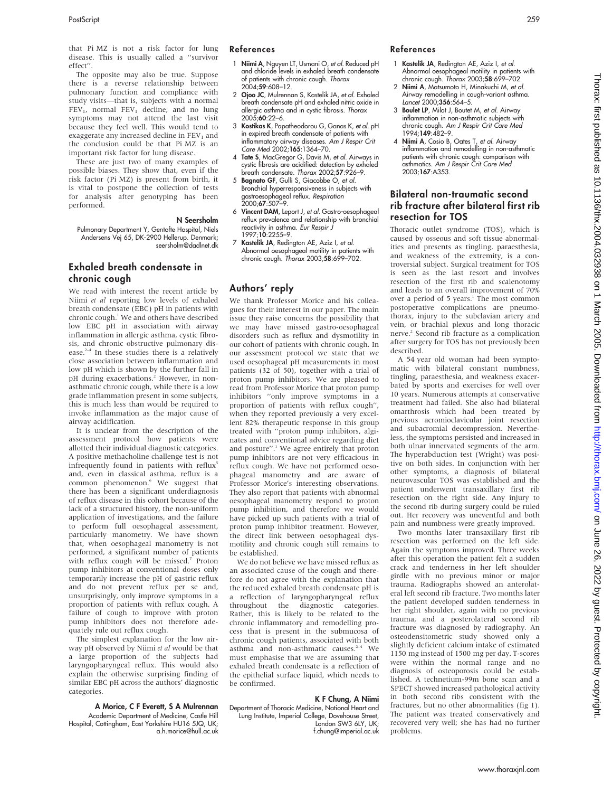that Pi MZ is not a risk factor for lung disease. This is usually called a ''survivor effect''.

The opposite may also be true. Suppose there is a reverse relationship between pulmonary function and compliance with study visits—that is, subjects with a normal  $FEV<sub>1</sub>$ , normal  $FEV<sub>1</sub>$  decline, and no lung symptoms may not attend the last visit because they feel well. This would tend to exaggerate any increased decline in FEV<sub>1</sub> and the conclusion could be that Pi MZ is an important risk factor for lung disease.

These are just two of many examples of possible biases. They show that, even if the risk factor (Pi MZ) is present from birth, it is vital to postpone the collection of tests for analysis after genotyping has been performed.

#### N Seersholm

Pulmonary Department Y, Gentofte Hospital, Niels Andersens Vej 65, DK-2900 Hellerup. Denmark; seersholm@dadlnet.dk

## Exhaled breath condensate in chronic cough

We read with interest the recent article by Niimi et al reporting low levels of exhaled breath condensate (EBC) pH in patients with chronic cough.<sup>1</sup> We and others have described low EBC pH in association with airway inflammation in allergic asthma, cystic fibrosis, and chronic obstructive pulmonary disease.2–4 In these studies there is a relatively close association between inflammation and low pH which is shown by the further fall in pH during exacerbations.<sup>2</sup> However, in nonasthmatic chronic cough, while there is a low grade inflammation present in some subjects, this is much less than would be required to invoke inflammation as the major cause of airway acidification.

It is unclear from the description of the assessment protocol how patients were allotted their individual diagnostic categories. A positive methacholine challenge test is not infrequently found in patients with reflux<sup>5</sup> and, even in classical asthma, reflux is a common phenomenon.6 We suggest that there has been a significant underdiagnosis of reflux disease in this cohort because of the lack of a structured history, the non-uniform application of investigations, and the failure to perform full oesophageal assessment, particularly manometry. We have shown that, when oesophageal manometry is not performed, a significant number of patients with reflux cough will be missed.<sup>7</sup> Proton pump inhibitors at conventional doses only temporarily increase the pH of gastric reflux and do not prevent reflux per se and, unsurprisingly, only improve symptoms in a proportion of patients with reflux cough. A failure of cough to improve with proton pump inhibitors does not therefore adequately rule out reflux cough.

The simplest explanation for the low airway pH observed by Niimi et al would be that a large proportion of the subjects had laryngopharyngeal reflux. This would also explain the otherwise surprising finding of similar EBC pH across the authors' diagnostic categories.

#### A Morice, C F Everett, S A Mulrennan

Academic Department of Medicine, Castle Hill Hospital, Cottingham, East Yorkshire HU16 5JQ, UK; a.h.morice@hull.ac.uk

## References

- 1 Niimi A, Nguyen LT, Usmani O, et al. Reduced pH and chloride levels in exhaled breath condensate of patients with chronic cough. Thorax 2004;59:608–12.
- 2 Ojoo JC, Mulrennan S, Kastelik JA, et al. Exhaled breath condensate pH and exhaled nitric oxide in allergic asthma and in cystic fibrosis. Thorax 2005;60:22–6.
- 3 Kostikas K, Papatheodorou G, Ganas K, et al. pH in expired breath condensate of patients with intlammatory airway diseases. *Am J Respir Crit*<br>*Care Med* 2002;**165**:1364–70.
- 4 Tate S, MacGregor G, Davis M, et al. Airways in cystic fibrosis are acidified: detection by exhaled<br>breath condensate. *Thorax* 2002;**57**:926–9.
- 5 Bagnato GF, Gulli S, Giacobbe O, et al. Bronchial hyperresponsiveness in subjects with gastroesophageal reflux. *Respiration*<br>2000;**67**:507–9.
- 6 Vincent DAM, Leport J, et al. Gastro-oesophageal reflux prevalence and relationship with bronchial reactivity in asthma. Eur Respir J 1997;10:2255–9.
- 7 Kastelik JA, Redington AE, Aziz I, et al. Abnormal oesophageal motility in patients with chronic cough. Thorax 2003;58:699–702.

## Authors' reply

We thank Professor Morice and his colleagues for their interest in our paper. The main issue they raise concerns the possibility that we may have missed gastro-oesophageal disorders such as reflux and dysmotility in our cohort of patients with chronic cough. In our assessment protocol we state that we used oesophageal pH measurements in most patients (32 of 50), together with a trial of proton pump inhibitors. We are pleased to read from Professor Morice that proton pump inhibitors ''only improve symptoms in a proportion of patients with reflux cough'', when they reported previously a very excellent 82% therapeutic response in this group treated with ''proton pump inhibitors, alginates and conventional advice regarding diet and posture".<sup>1</sup> We agree entirely that proton pump inhibitors are not very efficacious in reflux cough. We have not performed oesophageal manometry and are aware of Professor Morice's interesting observations. They also report that patients with abnormal oesophageal manometry respond to proton pump inhibition, and therefore we would have picked up such patients with a trial of proton pump inhibitor treatment. However, the direct link between oesophageal dysmotility and chronic cough still remains to be established.

We do not believe we have missed reflux as an associated cause of the cough and therefore do not agree with the explanation that the reduced exhaled breath condensate pH is a reflection of laryngopharyngeal reflux throughout the diagnostic categories. Rather, this is likely to be related to the chronic inflammatory and remodelling process that is present in the submucosa of chronic cough patients, associated with both asthma and non-asthmatic causes.<sup>2-4</sup> We must emphasise that we are assuming that exhaled breath condensate is a reflection of the epithelial surface liquid, which needs to be confirmed.

## K F Chung, A Niimi

Department of Thoracic Medicine, National Heart and Lung Institute, Imperial College, Dovehouse Street, London SW3 6LY, UK; f.chung@imperial.ac.uk

#### References

- 1 Kastelik JA, Redington AE, Aziz I, et al. Abnormal oesophageal motility in patients with chronic cough. Thorax 2003;58:699–702.
- 2 Niimi A, Matsumoto H, Minakuchi M, et al. Airway remodelling in cough-variant asthma. Lancet 2000;356:564–5.
- 3 Boulet LP, Milot J, Boutet M, et al. Airway inflammation in non-asthmatic subjects with chronic cough. Am J Respir Crit Care Med 1994;149:482–9.
- 4 Niimi A, Cosio B, Oates T, et al. Airway inflammation and remodelling in non-asthmatic patients with chronic cough: comparison with asthmatics. Am J Respir Crit Care Med 2003;167:A353.

## Bilateral non-traumatic second rib fracture after bilateral first rib resection for TOS

Thoracic outlet syndrome (TOS), which is caused by osseous and soft tissue abnormalities and presents as tingling, paraesthesia, and weakness of the extremity, is a controversial subject. Surgical treatment for TOS is seen as the last resort and involves resection of the first rib and scalenotomy and leads to an overall improvement of 70% over a period of 5 years.<sup>1</sup> The most common postoperative complications are pneumothorax, injury to the subclavian artery and vein, or brachial plexus and long thoracic nerve.<sup>2</sup> Second rib fracture as a complication after surgery for TOS has not previously been described.

A 54 year old woman had been symptomatic with bilateral constant numbness, tingling, paraesthesia, and weakness exacerbated by sports and exercises for well over 10 years. Numerous attempts at conservative treatment had failed. She also had bilateral omarthrosis which had been treated by previous acromioclavicular joint resection and subacromial decompression. Nevertheless, the symptoms persisted and increased in both ulnar innervated segments of the arm. The hyperabduction test (Wright) was positive on both sides. In conjunction with her other symptoms, a diagnosis of bilateral neurovascular TOS was established and the patient underwent transaxillary first rib resection on the right side. Any injury to the second rib during surgery could be ruled out. Her recovery was uneventful and both pain and numbness were greatly improved.

Two months later transaxillary first rib resection was performed on the left side. Again the symptoms improved. Three weeks after this operation the patient felt a sudden crack and tenderness in her left shoulder girdle with no previous minor or major trauma. Radiographs showed an anterolateral left second rib fracture. Two months later the patient developed sudden tenderness in her right shoulder, again with no previous trauma, and a posterolateral second rib fracture was diagnosed by radiography. An osteodensitometric study showed only a slightly deficient calcium intake of estimated 1150 mg instead of 1500 mg per day. T-scores were within the normal range and no diagnosis of osteoporosis could be established. A technetium-99m bone scan and a SPECT showed increased pathological activity in both second ribs consistent with the fractures, but no other abnormalities (fig 1). The patient was treated conservatively and recovered very well; she has had no further problems.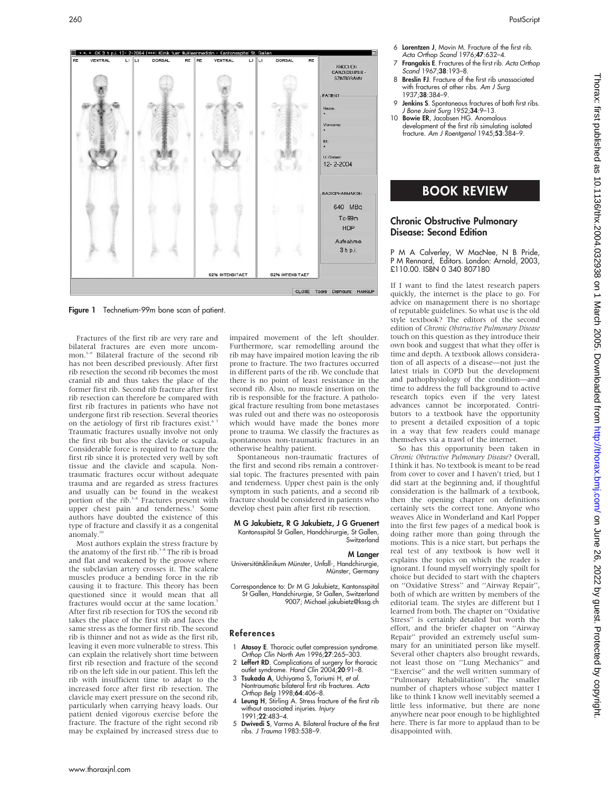

Figure 1 Technetium-99m bone scan of patient.

Fractures of the first rib are very rare and bilateral fractures are even more uncommon.<sup>3–9</sup> Bilateral fracture of the second rib has not been described previously. After first rib resection the second rib becomes the most cranial rib and thus takes the place of the former first rib. Second rib fracture after first rib resection can therefore be compared with first rib fractures in patients who have not undergone first rib resection. Several theories on the aetiology of first rib fractures exist.<sup>6</sup> Traumatic fractures usually involve not only the first rib but also the clavicle or scapula. Considerable force is required to fracture the first rib since it is protected very well by soft tissue and the clavicle and scapula. Nontraumatic fractures occur without adequate trauma and are regarded as stress fractures and usually can be found in the weakest portion of the rib.<sup>3–8</sup> Fractures present with upper chest pain and tenderness.<sup>3</sup> Some authors have doubted the existence of this type of fracture and classify it as a congenital anomaly. $<sup>1</sup>$ </sup>

Most authors explain the stress fracture by the anatomy of the first rib.<sup>3–8</sup> The rib is broad and flat and weakened by the groove where the subclavian artery crosses it. The scalene muscles produce a bending force in the rib causing it to fracture. This theory has been questioned since it would mean that all fractures would occur at the same location.<sup>3</sup> After first rib resection for TOS the second rib takes the place of the first rib and faces the same stress as the former first rib. The second rib is thinner and not as wide as the first rib, leaving it even more vulnerable to stress. This can explain the relatively short time between first rib resection and fracture of the second rib on the left side in our patient. This left the rib with insufficient time to adapt to the increased force after first rib resection. The clavicle may exert pressure on the second rib, particularly when carrying heavy loads. Our patient denied vigorous exercise before the fracture. The fracture of the right second rib may be explained by increased stress due to impaired movement of the left shoulder. Furthermore, scar remodelling around the rib may have impaired motion leaving the rib prone to fracture. The two fractures occurred in different parts of the rib. We conclude that there is no point of least resistance in the second rib. Also, no muscle insertion on the rib is responsible for the fracture. A pathological fracture resulting from bone metastases was ruled out and there was no osteoporosis which would have made the bones more prone to trauma. We classify the fractures as spontaneous non-traumatic fractures in an otherwise healthy patient.

Spontaneous non-traumatic fractures of the first and second ribs remain a controversial topic. The fractures presented with pain and tenderness. Upper chest pain is the only symptom in such patients, and a second rib fracture should be considered in patients who develop chest pain after first rib resection.

#### M G Jakubietz, R G Jakubietz, J G Gruenert Kantonsspital St Gallen, Handchirurgie, St Gallen,

Switzerland

#### M Langer

Universitätsklinikum Münster, Unfall-, Handchirurgie, Münster, Germany

Correspondence to: Dr M G Jakubietz, Kantonsspital St Gallen, Handchirurgie, St Gallen, Switzerland 9007; Michael.jakubietz@kssg.ch

#### References

- 1 Atasoy E. Thoracic outlet compression syndrome. Orthop Clin North Am 1996;27:265–303.
- 2 Leffert RD. Complications of surgery for thoracic outlet syndrome. Hand Clin 2004;20:91-8.
- 3 Tsukada A, Uchiyama S, Toriumi H, et al. Nontraumatic bilateral first rib fractures. Acta Orthop Belg 1998;64:406-8.
- 4 Leung H, Stirling A. Stress fracture of the first rib without associated injuries. Injury 1991;22:483–4.
- 5 Dwivedi S, Varma A. Bilateral fracture of the first ribs. J Trauma 1983:538–9.
- 6 Lorentzen J, Movin M. Fracture of the first rib. Acta Orthop Scand 1976;47:632–4.
- Frangakis E. Fractures of the first rib. Acta Orthop Scand 1967;38:193–8.
- 8 Breslin FJ. Fracture of the first rib unassociated with fractures of other ribs. Am J Surg 1937;38:384–9.
- 9 Jenkins S. Spontaneous fractures of both first ribs. J Bone Joint Surg 1952;34:9–13.
- 10 **Bowie ER**, Jacobsen HG. Anomalous development of the first rib simulating isolated fracture. Am J Roentgenol 1945;53:384–9.

# BOOK REVIEW

## Chronic Obstructive Pulmonary Disease: Second Edition

P M A Calverley, W MacNee, N B Pride, P M Rennard, Editors. London: Arnold, 2003, £110.00. ISBN 0 340 807180

If I want to find the latest research papers quickly, the internet is the place to go. For advice on management there is no shortage of reputable guidelines. So what use is the old style textbook? The editors of the second edition of Chronic Obstructive Pulmonary Disease touch on this question as they introduce their own book and suggest that what they offer is time and depth. A textbook allows consideration of all aspects of a disease—not just the latest trials in COPD but the development and pathophysiology of the condition—and time to address the full background to active research topics even if the very latest advances cannot be incorporated. Contributors to a textbook have the opportunity to present a detailed exposition of a topic in a way that few readers could manage themselves via a trawl of the internet.

So has this opportunity been taken in Chronic Obstructive Pulmonary Disease? Overall, I think it has. No textbook is meant to be read from cover to cover and I haven't tried, but I did start at the beginning and, if thoughtful consideration is the hallmark of a textbook, then the opening chapter on definitions certainly sets the correct tone. Anyone who weaves Alice in Wonderland and Karl Popper into the first few pages of a medical book is doing rather more than going through the motions. This is a nice start, but perhaps the real test of any textbook is how well it explains the topics on which the reader is ignorant. I found myself worryingly spoilt for choice but decided to start with the chapters on ''Oxidative Stress'' and ''Airway Repair'', both of which are written by members of the editorial team. The styles are different but I learned from both. The chapter on ''Oxidative Stress'' is certainly detailed but worth the effort, and the briefer chapter on ''Airway Repair'' provided an extremely useful summary for an uninitiated person like myself. Several other chapters also brought rewards, not least those on ''Lung Mechanics'' and ''Exercise'' and the well written summary of ''Pulmonary Rehabilitation''. The smaller number of chapters whose subject matter I like to think I know well inevitably seemed a little less informative, but there are none anywhere near poor enough to be highlighted here. There is far more to applaud than to be disappointed with.